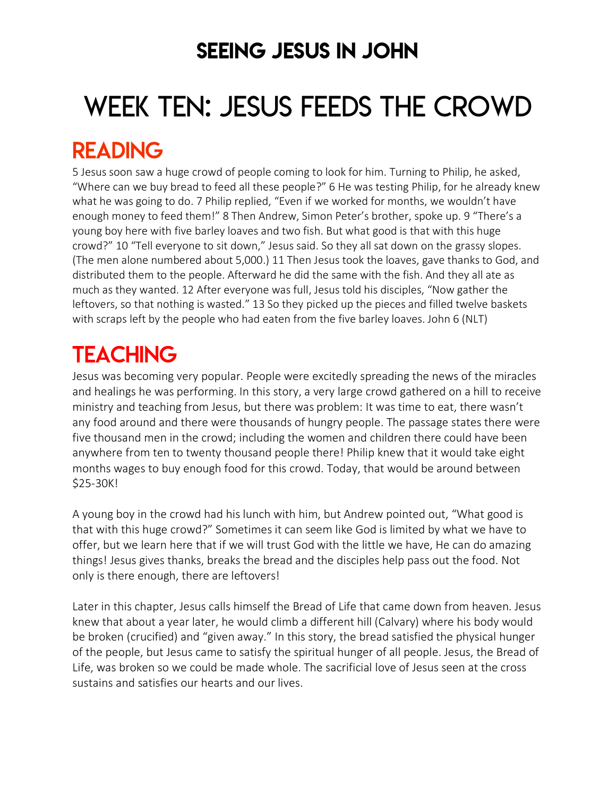## SEEING JESUS IN JOHN

# WEEK TEN: JESUS FEEDS THE CROWD

## READING

5 Jesus soon saw a huge crowd of people coming to look for him. Turning to Philip, he asked, "Where can we buy bread to feed all these people?" 6 He was testing Philip, for he already knew what he was going to do. 7 Philip replied, "Even if we worked for months, we wouldn't have enough money to feed them!" 8 Then Andrew, Simon Peter's brother, spoke up. 9 "There's a young boy here with five barley loaves and two fish. But what good is that with this huge crowd?" 10 "Tell everyone to sit down," Jesus said. So they all sat down on the grassy slopes. (The men alone numbered about 5,000.) 11 Then Jesus took the loaves, gave thanks to God, and distributed them to the people. Afterward he did the same with the fish. And they all ate as much as they wanted. 12 After everyone was full, Jesus told his disciples, "Now gather the leftovers, so that nothing is wasted." 13 So they picked up the pieces and filled twelve baskets with scraps left by the people who had eaten from the five barley loaves. John 6 (NLT)

# **TEACHING**

Jesus was becoming very popular. People were excitedly spreading the news of the miracles and healings he was performing. In this story, a very large crowd gathered on a hill to receive ministry and teaching from Jesus, but there was problem: It was time to eat, there wasn't any food around and there were thousands of hungry people. The passage states there were five thousand men in the crowd; including the women and children there could have been anywhere from ten to twenty thousand people there! Philip knew that it would take eight months wages to buy enough food for this crowd. Today, that would be around between \$25-30K!

A young boy in the crowd had his lunch with him, but Andrew pointed out, "What good is that with this huge crowd?" Sometimes it can seem like God is limited by what we have to offer, but we learn here that if we will trust God with the little we have, He can do amazing things! Jesus gives thanks, breaks the bread and the disciples help pass out the food. Not only is there enough, there are leftovers!

Later in this chapter, Jesus calls himself the Bread of Life that came down from heaven. Jesus knew that about a year later, he would climb a different hill (Calvary) where his body would be broken (crucified) and "given away." In this story, the bread satisfied the physical hunger of the people, but Jesus came to satisfy the spiritual hunger of all people. Jesus, the Bread of Life, was broken so we could be made whole. The sacrificial love of Jesus seen at the cross sustains and satisfies our hearts and our lives.